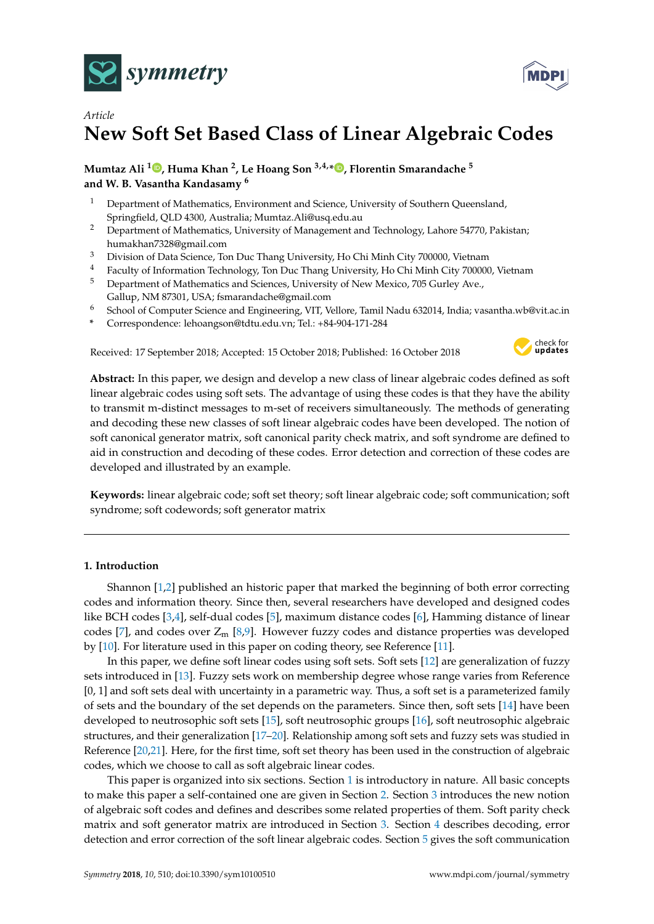



# *Article* **New Soft Set Based Class of Linear Algebraic Codes**

**Mumtaz Ali [1](https://orcid.org/0000-0002-6975-5159) , Huma Khan <sup>2</sup> , Le Hoang Son 3,4,[\\*](https://orcid.org/0000-0001-6356-0046) , Florentin Smarandache <sup>5</sup> and W. B. Vasantha Kandasamy <sup>6</sup>**

- <sup>1</sup> Department of Mathematics, Environment and Science, University of Southern Queensland, Springfield, QLD 4300, Australia; Mumtaz.Ali@usq.edu.au
- <sup>2</sup> Department of Mathematics, University of Management and Technology, Lahore 54770, Pakistan; humakhan7328@gmail.com
- <sup>3</sup> Division of Data Science, Ton Duc Thang University, Ho Chi Minh City 700000, Vietnam
- <sup>4</sup> Faculty of Information Technology, Ton Duc Thang University, Ho Chi Minh City 700000, Vietnam
- <sup>5</sup> Department of Mathematics and Sciences, University of New Mexico, 705 Gurley Ave., Gallup, NM 87301, USA; fsmarandache@gmail.com
- <sup>6</sup> School of Computer Science and Engineering, VIT, Vellore, Tamil Nadu 632014, India; vasantha.wb@vit.ac.in
- **\*** Correspondence: lehoangson@tdtu.edu.vn; Tel.: +84-904-171-284

Received: 17 September 2018; Accepted: 15 October 2018; Published: 16 October 2018



**Abstract:** In this paper, we design and develop a new class of linear algebraic codes defined as soft linear algebraic codes using soft sets. The advantage of using these codes is that they have the ability to transmit m-distinct messages to m-set of receivers simultaneously. The methods of generating and decoding these new classes of soft linear algebraic codes have been developed. The notion of soft canonical generator matrix, soft canonical parity check matrix, and soft syndrome are defined to aid in construction and decoding of these codes. Error detection and correction of these codes are developed and illustrated by an example.

**Keywords:** linear algebraic code; soft set theory; soft linear algebraic code; soft communication; soft syndrome; soft codewords; soft generator matrix

#### <span id="page-0-0"></span>**1. Introduction**

Shannon [\[1,](#page-8-0)[2\]](#page-8-1) published an historic paper that marked the beginning of both error correcting codes and information theory. Since then, several researchers have developed and designed codes like BCH codes [\[3](#page-8-2)[,4\]](#page-8-3), self-dual codes [\[5\]](#page-8-4), maximum distance codes [\[6\]](#page-8-5), Hamming distance of linear codes [\[7\]](#page-8-6), and codes over  $Z_m$  [\[8](#page-8-7)[,9\]](#page-8-8). However fuzzy codes and distance properties was developed by [\[10\]](#page-8-9). For literature used in this paper on coding theory, see Reference [\[11\]](#page-8-10).

In this paper, we define soft linear codes using soft sets. Soft sets [\[12\]](#page-8-11) are generalization of fuzzy sets introduced in [\[13\]](#page-8-12). Fuzzy sets work on membership degree whose range varies from Reference [0, 1] and soft sets deal with uncertainty in a parametric way. Thus, a soft set is a parameterized family of sets and the boundary of the set depends on the parameters. Since then, soft sets [\[14\]](#page-8-13) have been developed to neutrosophic soft sets [\[15\]](#page-8-14), soft neutrosophic groups [\[16\]](#page-8-15), soft neutrosophic algebraic structures, and their generalization [\[17–](#page-8-16)[20\]](#page-8-17). Relationship among soft sets and fuzzy sets was studied in Reference [\[20,](#page-8-17)[21\]](#page-8-18). Here, for the first time, soft set theory has been used in the construction of algebraic codes, which we choose to call as soft algebraic linear codes.

This paper is organized into six sections. Section [1](#page-0-0) is introductory in nature. All basic concepts to make this paper a self-contained one are given in Section [2.](#page-1-0) Section [3](#page-2-0) introduces the new notion of algebraic soft codes and defines and describes some related properties of them. Soft parity check matrix and soft generator matrix are introduced in Section [3.](#page-2-0) Section [4](#page-4-0) describes decoding, error detection and error correction of the soft linear algebraic codes. Section [5](#page-6-0) gives the soft communication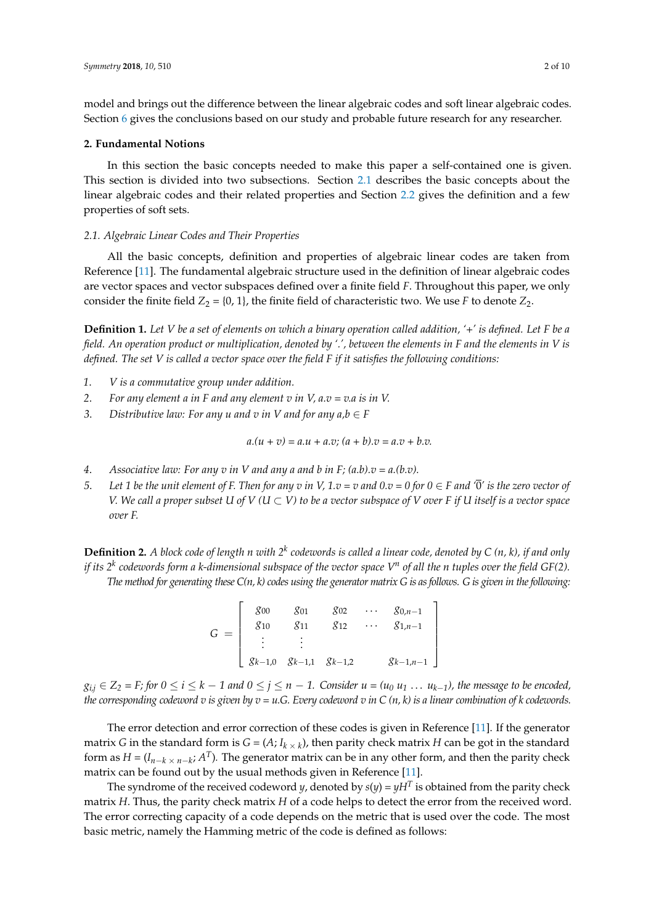model and brings out the difference between the linear algebraic codes and soft linear algebraic codes. Section [6](#page-7-0) gives the conclusions based on our study and probable future research for any researcher.

## <span id="page-1-0"></span>**2. Fundamental Notions**

In this section the basic concepts needed to make this paper a self-contained one is given. This section is divided into two subsections. Section [2.1](#page-1-1) describes the basic concepts about the linear algebraic codes and their related properties and Section [2.2](#page-2-1) gives the definition and a few properties of soft sets.

### <span id="page-1-1"></span>*2.1. Algebraic Linear Codes and Their Properties*

All the basic concepts, definition and properties of algebraic linear codes are taken from Reference [\[11\]](#page-8-10). The fundamental algebraic structure used in the definition of linear algebraic codes are vector spaces and vector subspaces defined over a finite field *F*. Throughout this paper, we only consider the finite field  $Z_2 = \{0, 1\}$ , the finite field of characteristic two. We use *F* to denote  $Z_2$ .

**Definition 1.** *Let V be a set of elements on which a binary operation called addition, '+' is defined. Let F be a field. An operation product or multiplication, denoted by '.', between the elements in F and the elements in V is defined. The set V is called a vector space over the field F if it satisfies the following conditions:*

- *1*. *V is a commutative group under addition.*
- *2*. *For any element a in F and any element v in V, a.v = v.a is in V.*
- *3. Distributive law: For any u and v in V and for any*  $a, b \in F$

 $a.(u + v) = a.u + a.v$ ;  $(a + b).v = a.v + b.v$ .

- 4. *Associative law: For any v in V and any a and b in F;*  $(a.b)x = a.(b.v)$ *.*
- *5*. Let 1 be the unit element of F. Then for any v in V,  $1.v = v$  and  $0.v = 0$  for  $0 \in F$  and  $\overline{0}'$  is the zero vector of *V.* We call a proper subset U of  $V$  ( $U \subset V$ ) to be a vector subspace of V over F if U itself is a vector space *over F.*

**Definition 2.** A block code of length  $n$  with  $2^k$  codewords is called a linear code, denoted by  $C$  (n, k), if and only *if its 2<sup>k</sup> codewords form a k-dimensional subspace of the vector space V<sup>n</sup> of all the n tuples over the field GF(2). The method for generating these C(n, k) codes using the generator matrix G is as follows. G is given in the following:*

> *G* =  $\lceil$  *g*<sup>00</sup> *g*<sup>01</sup> *g*<sup>02</sup> . . . *g*0,*n*−<sup>1</sup> *g*<sup>10</sup> *g*<sup>11</sup> *g*<sup>12</sup> . . . *g*1,*n*−<sup>1</sup>  $:$   $:$   $:$ *gk*−1,0 *gk*−1,1 *gk*−1,2 *gk*−1,*n*−<sup>1</sup> 1

 $g_{i,j}\in Z_2$  = F; for  $0\leq i\leq k-1$  and  $0\leq j\leq n-1.$  Consider  $u$  = ( $u_0$   $u_1$   $\ldots$   $u_{k-1}$ ), the message to be encoded, *the corresponding codeword v is given by v = u.G. Every codeword v in C (n, k) is a linear combination of k codewords.*

The error detection and error correction of these codes is given in Reference [\[11\]](#page-8-10). If the generator matrix *G* in the standard form is  $G = (A; I_{k \times k})$ , then parity check matrix *H* can be got in the standard form as  $H = (I_{n-k} \times n-k; A^T)$ . The generator matrix can be in any other form, and then the parity check matrix can be found out by the usual methods given in Reference [\[11\]](#page-8-10).

The syndrome of the received codeword *y*, denoted by  $s(y)$  =  $yH^T$  is obtained from the parity check matrix *H*. Thus, the parity check matrix *H* of a code helps to detect the error from the received word. The error correcting capacity of a code depends on the metric that is used over the code. The most basic metric, namely the Hamming metric of the code is defined as follows: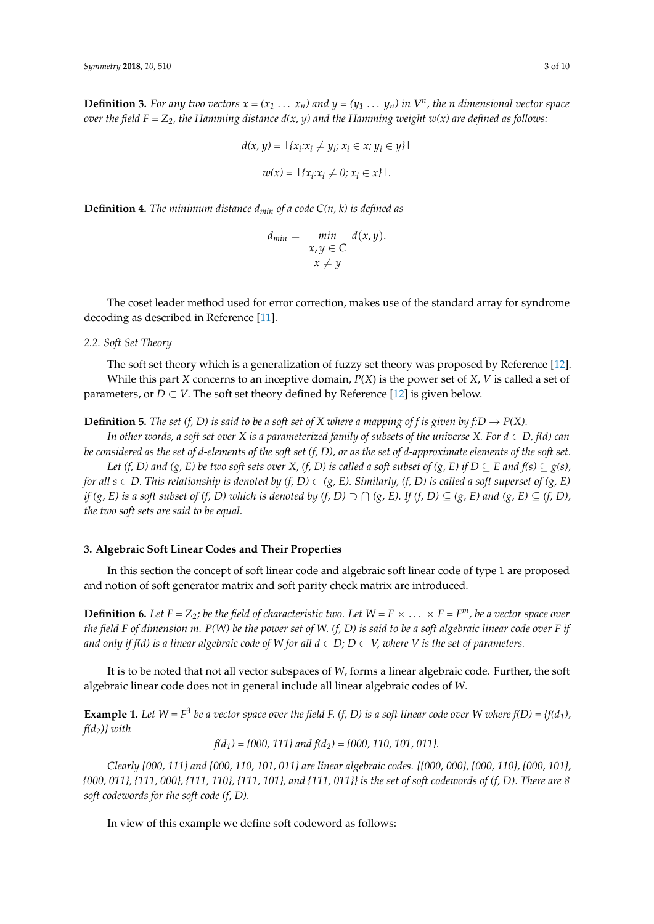**Definition 3.** For any two vectors  $x = (x_1 \ldots x_n)$  and  $y = (y_1 \ldots y_n)$  in  $V^n$ , the n dimensional vector space *over the field F =*  $Z_2$ *, the Hamming distance*  $d(x, y)$  *and the Hamming weight w(x) are defined as follows:* 

$$
d(x, y) = |\{x_i : x_i \neq y_i; x_i \in x; y_i \in y\}|
$$

$$
w(x) = |\{x_i : x_i \neq 0; x_i \in x\}|.
$$

**Definition 4.** *The minimum distance dmin of a code C(n, k) is defined as*

$$
d_{min} = \min_{\begin{array}{c} x, y \in C \\ x \neq y \end{array}} d(x, y).
$$

The coset leader method used for error correction, makes use of the standard array for syndrome decoding as described in Reference [\[11\]](#page-8-10).

<span id="page-2-1"></span>*2.2. Soft Set Theory*

The soft set theory which is a generalization of fuzzy set theory was proposed by Reference [\[12\]](#page-8-11). While this part *X* concerns to an inceptive domain, *P*(*X*) is the power set of *X*, *V* is called a set of parameters, or  $D \subset V$ . The soft set theory defined by Reference [\[12\]](#page-8-11) is given below.

**Definition 5.** *The set* (*f, D*) *is said to be a soft set of X where a mapping of f is given by f:D*  $\rightarrow$  *P(X).* 

*In other words, a soft set over X is a parameterized family of subsets of the universe X. For*  $d \in D$ *, f(d) can be considered as the set of d-elements of the soft set (f, D), or as the set of d-approximate elements of the soft set.*

*Let* (*f, D*) and (*g, E*) be two soft sets over X, (*f, D*) is called a soft subset of (*g, E*) if  $D \subseteq E$  and  $f(s) \subseteq g(s)$ , *for all*  $s \in D$ . This relationship is denoted by  $(f, D) \subset (g, E)$ . Similarly,  $(f, D)$  is called a soft superset of  $(g, E)$ *if (g, E) is a soft subset of (f, D) which is denoted by (f, D)*  $\supset \bigcap (g, E)$ *. If (f, D)*  $\subseteq (g, E)$  *and (g, E)*  $\subseteq (f, D)$ *, the two soft sets are said to be equal.*

# <span id="page-2-0"></span>**3. Algebraic Soft Linear Codes and Their Properties**

In this section the concept of soft linear code and algebraic soft linear code of type 1 are proposed and notion of soft generator matrix and soft parity check matrix are introduced.

**Definition 6.** Let  $F = Z_2$ ; be the field of characteristic two. Let  $W = F \times \ldots \times F = F^m$ , be a vector space over *the field F of dimension m. P(W) be the power set of W. (f, D) is said to be a soft algebraic linear code over F if and only if f(d) is a linear algebraic code of W for all*  $d \in D$ *;*  $D \subset V$ *, where V is the set of parameters.* 

It is to be noted that not all vector subspaces of *W*, forms a linear algebraic code. Further, the soft algebraic linear code does not in general include all linear algebraic codes of *W*.

**Example 1.** Let  $W = F^3$  be a vector space over the field F. (f, D) is a soft linear code over W where  $f(D) = \{f(d_1), f(d_2)\}$ *f(d2)} with*

 $f(d_1) = \{000, 111\}$  and  $f(d_2) = \{000, 110, 101, 011\}$ .

*Clearly {000, 111} and {000, 110, 101, 011} are linear algebraic codes. {{000, 000}, {000, 110}, {000, 101}, {000, 011}, {111, 000}, {111, 110}, {111, 101}, and {111, 011}} is the set of soft codewords of (f, D). There are 8 soft codewords for the soft code (f, D).*

In view of this example we define soft codeword as follows: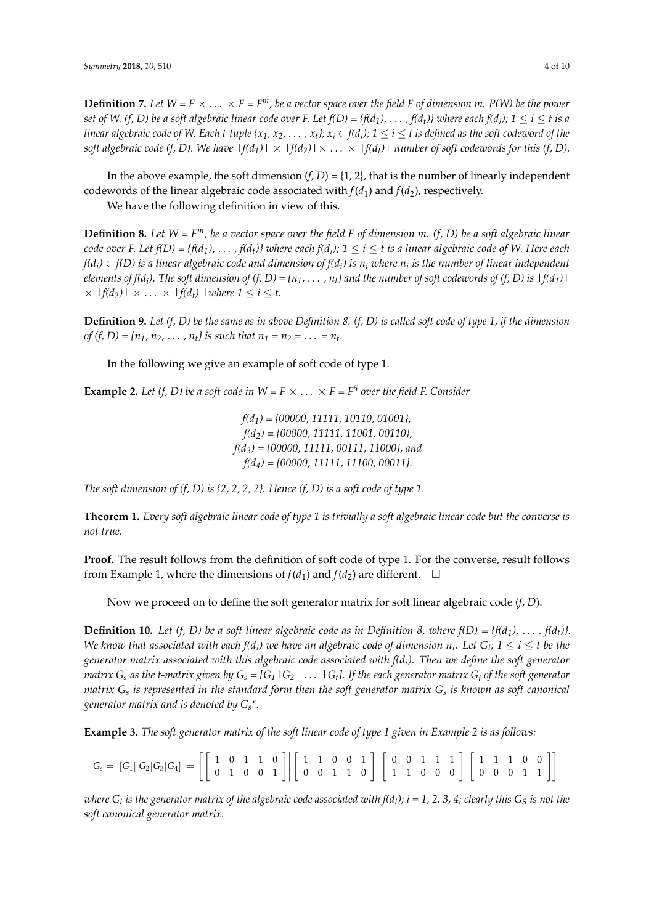**Definition 7.** Let  $W = F \times ... \times F = F^m$ , be a vector space over the field F of dimension m. P(W) be the power *set of W. (f, D) be a soft algebraic linear code over F. Let f(D) = {f(d<sub>1</sub>), . . . , f(d<sub>t</sub>)} where each f(d<sub>i</sub>); 1*  $\leq$  *i*  $\leq$  *t is a linear algebraic code of W. Each t-tuple {x<sub>1</sub>, x<sub>2</sub>,*  $\dots$  *, x<sub>t</sub>}; x<sub>i</sub>*  $\in$  *f(d<sub>i</sub>); 1*  $\le$  *i*  $\le$  *t is defined as the soft codeword of the soft algebraic code (f, D). We have*  $|f(d_1)| \times |f(d_2)| \times ... \times |f(d_t)|$  *number of soft codewords for this (f, D).* 

In the above example, the soft dimension  $(f, D) = \{1, 2\}$ , that is the number of linearly independent codewords of the linear algebraic code associated with  $f(d_1)$  and  $f(d_2)$ , respectively.

We have the following definition in view of this.

**Definition 8.** *Let W = Fm, be a vector space over the field F of dimension m. (f, D) be a soft algebraic linear code over F. Let f(D)* = {*f(d<sub>1</sub>),* . . . , *f(d<sub>t</sub>)}* where each *f(d<sub>i</sub>);* 1  $\leq$  *i*  $\leq$  *t* is a linear algebraic code of W. Here each *f*( $d_i$ )  $\in$  *f*(D) is a linear algebraic code and dimension of *f*( $d_i$ ) is  $n_i$  where  $n_i$  is the number of linear independent *elements of f(d<sup>i</sup> ). The soft dimension of (f, D) = {n1,* . . . *, nt} and the number of soft codewords of (f, D) is |f(d1)|*  $\times$  *|f(d<sub>2</sub>)*  $\times$  ...  $\times$  *|f(d<sub>t</sub>) | where*  $1 \le i \le t$ .

**Definition 9.** *Let (f, D) be the same as in above Definition 8. (f, D) is called soft code of type 1, if the dimension of*  $(f, D) = \{n_1, n_2, \ldots, n_t\}$  *is such that*  $n_1 = n_2 = \ldots = n_t$ .

In the following we give an example of soft code of type 1.

**Example 2.** Let (f, D) be a soft code in  $W = F \times ... \times F = F^5$  over the field F. Consider

*f(d1) = {00000, 11111, 10110, 01001}, f(d2) = {00000, 11111, 11001, 00110}, f(d3) = {00000, 11111, 00111, 11000}, and f(d4) = {00000, 11111, 11100, 00011}.*

*The soft dimension of (f, D) is {2, 2, 2, 2}. Hence (f, D) is a soft code of type 1.*

**Theorem 1.** *Every soft algebraic linear code of type 1 is trivially a soft algebraic linear code but the converse is not true.*

**Proof.** The result follows from the definition of soft code of type 1. For the converse, result follows from Example 1, where the dimensions of  $f(d_1)$  and  $f(d_2)$  are different.  $\Box$ 

Now we proceed on to define the soft generator matrix for soft linear algebraic code (*f*, *D*).

**Definition 10.** Let (f, D) be a soft linear algebraic code as in Definition 8, where  $f(D) = \{f(d_1), \ldots, f(d_t)\}\$ . *We know that associated with each f(d<sub>i</sub>) we have an algebraic code of dimension*  $n_i$ *. Let*  $G_i$ *;*  $1 \leq i \leq t$  *be the generator matrix associated with this algebraic code associated with f(d<sup>i</sup> ). Then we define the soft generator matrix*  $G_s$  *as the t-matrix given by*  $G_s = [G_1 \, | \, G_2 \, | \, \dots \, | \, G_t]$ . If the each generator matrix  $G_i$  *of the soft generator matrix G<sup>s</sup> is represented in the standard form then the soft generator matrix G<sup>s</sup> is known as soft canonical generator matrix and is denoted by Gs\*.*

**Example 3.** *The soft generator matrix of the soft linear code of type 1 given in Example 2 is as follows:*

$$
G_s = [G_1 | G_2 | G_3 | G_4] = \left[ \left[ \begin{array}{rrrrr} 1 & 0 & 1 & 1 & 0 \\ 0 & 1 & 0 & 0 & 1 \end{array} \right] \middle| \left[ \begin{array}{rrrrr} 1 & 1 & 0 & 0 & 1 \\ 0 & 0 & 1 & 1 & 0 \end{array} \right] \middle| \left[ \begin{array}{rrrrr} 0 & 0 & 1 & 1 & 1 \\ 1 & 1 & 0 & 0 & 0 \end{array} \right] \middle| \left[ \begin{array}{rrrrr} 1 & 1 & 1 & 0 & 0 \\ 0 & 0 & 0 & 1 & 1 \end{array} \right] \right]
$$

*where G<sup>i</sup> is the generator matrix of the algebraic code associated with f(d<sup>i</sup> ); i = 1, 2, 3, 4; clearly this G<sup>S</sup> is not the soft canonical generator matrix.*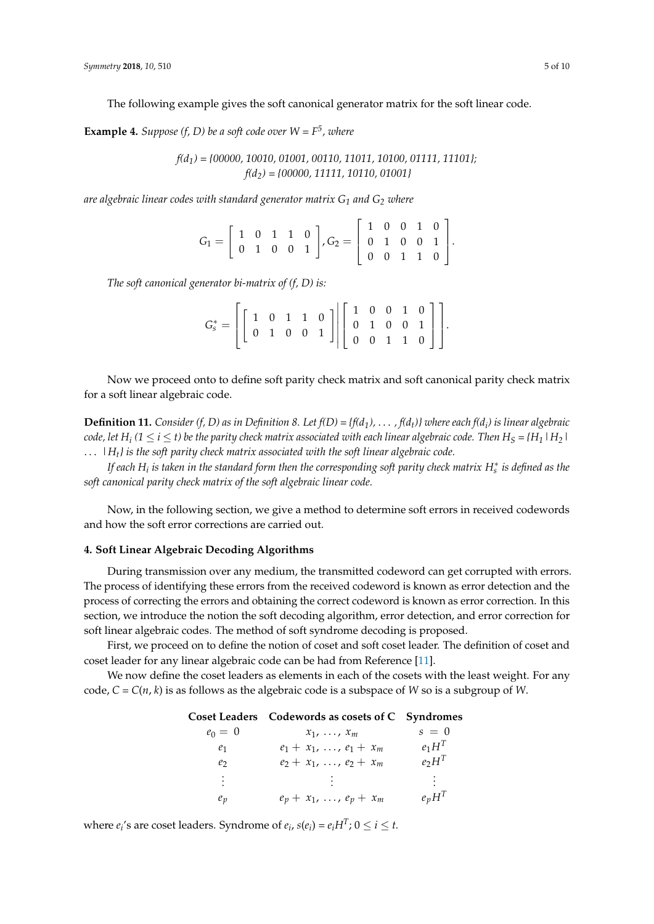The following example gives the soft canonical generator matrix for the soft linear code.

**Example 4.** *Suppose* (*f*, *D*) *be a soft code over*  $W = F^5$ *, where* 

*f(d1) = {00000, 10010, 01001, 00110, 11011, 10100, 01111, 11101}; f(d2) = {00000, 11111, 10110, 01001}*

*are algebraic linear codes with standard generator matrix G<sup>1</sup> and G<sup>2</sup> where*

|  |  |  | $G_1 = \left[ \begin{array}{rrr} 1 & 0 & 1 & 1 & 0 \\ 0 & 1 & 0 & 0 & 1 \end{array} \right], G_2 = \left[ \begin{array}{rrr} 1 & 0 & 0 & 1 & 0 \\ 0 & 1 & 0 & 0 & 1 \\ 0 & 0 & 1 & 1 & 0 \end{array} \right].$ |  |  |  |
|--|--|--|----------------------------------------------------------------------------------------------------------------------------------------------------------------------------------------------------------------|--|--|--|
|  |  |  |                                                                                                                                                                                                                |  |  |  |

*The soft canonical generator bi-matrix of (f, D) is:*

| $G^*_s = \left[\left[\begin{array}{cccc c}1 & 0 & 1 & 1 & 0\ 0 & 1 & 0 & 0 & 1\end{array}\right]\middle \left[\begin{array}{cccc c}1 & 0 & 0 & 1 & 0\ 0 & 1 & 0 & 0 & 1\ 0 & 0 & 1 & 1 & 0\end{array}\right]\right].$ |  |  |  |  |  |  |  |
|-----------------------------------------------------------------------------------------------------------------------------------------------------------------------------------------------------------------------|--|--|--|--|--|--|--|

Now we proceed onto to define soft parity check matrix and soft canonical parity check matrix for a soft linear algebraic code.

**Definition 11.** *Consider (f, D) as in Definition 8. Let f(D) = {f(d1),* . . . *, f(dt)} where each f(d<sup>i</sup> ) is linear algebraic*  $c$ ode, let  $H_i$  ( $1 \leq i \leq t$ ) be the parity check matrix associated with each linear algebraic code. Then  $H_S$  = { $H_1$  |  $H_2$  | . . . *|Ht} is the soft parity check matrix associated with the soft linear algebraic code.*

*If each H<sup>i</sup> is taken in the standard form then the corresponding soft parity check matrix H*<sup>∗</sup> *s is defined as the soft canonical parity check matrix of the soft algebraic linear code.*

Now, in the following section, we give a method to determine soft errors in received codewords and how the soft error corrections are carried out.

## <span id="page-4-0"></span>**4. Soft Linear Algebraic Decoding Algorithms**

During transmission over any medium, the transmitted codeword can get corrupted with errors. The process of identifying these errors from the received codeword is known as error detection and the process of correcting the errors and obtaining the correct codeword is known as error correction. In this section, we introduce the notion the soft decoding algorithm, error detection, and error correction for soft linear algebraic codes. The method of soft syndrome decoding is proposed.

First, we proceed on to define the notion of coset and soft coset leader. The definition of coset and coset leader for any linear algebraic code can be had from Reference [\[11\]](#page-8-10).

We now define the coset leaders as elements in each of the cosets with the least weight. For any code,  $C = C(n, k)$  is as follows as the algebraic code is a subspace of *W* so is a subgroup of *W*.

|                | Coset Leaders Codewords as cosets of C Syndromes |                |
|----------------|--------------------------------------------------|----------------|
| $e_0 = 0$      | $x_1, \ldots, x_m$                               | $s = 0$        |
| $e_1$          | $e_1 + x_1, \ldots, e_1 + x_m$                   | $e_1H^T$       |
| e <sub>2</sub> | $e_2 + x_1, \ldots, e_2 + x_m$                   | $e_2H^T$       |
| $\vdots$       |                                                  | $\mathbb{R}^+$ |
| $e_p$          | $e_p + x_1, \ldots, e_p + x_m$                   | $e_pH^T$       |

where  $e_i$ 's are coset leaders. Syndrome of  $e_i$ ,  $s(e_i) = e_i H^T$ ;  $0 \le i \le t$ .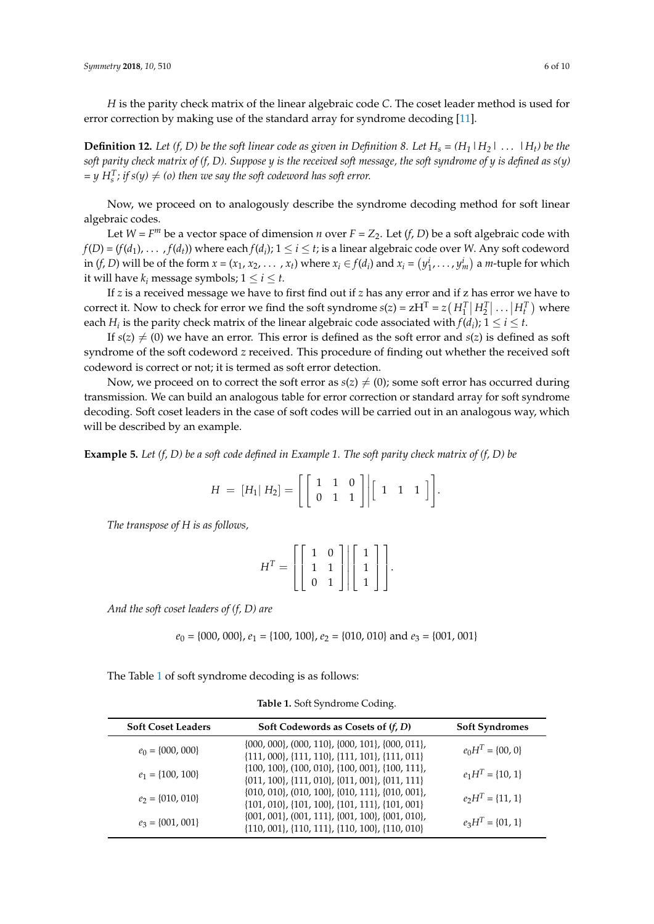*H* is the parity check matrix of the linear algebraic code *C*. The coset leader method is used for error correction by making use of the standard array for syndrome decoding [\[11\]](#page-8-10).

**Definition 12.** Let (f, D) be the soft linear code as given in Definition 8. Let  $H_s = (H_1 \mid H_2 \mid \ldots \mid H_t)$  be the *soft parity check matrix of (f, D). Suppose y is the received soft message, the soft syndrome of y is defined as s(y)*  $y = y H_s^T$ ; if  $s(y) \neq (o)$  then we say the soft codeword has soft error.

Now, we proceed on to analogously describe the syndrome decoding method for soft linear algebraic codes.

Let  $W = F^m$  be a vector space of dimension *n* over  $F = Z_2$ . Let (*f*, *D*) be a soft algebraic code with  $f(D) = (f(d_1), \ldots, f(d_t))$  where each  $f(d_i)$ ;  $1 \leq i \leq t$ ; is a linear algebraic code over *W*. Any soft codeword in  $(f, D)$  will be of the form  $x = (x_1, x_2, ..., x_t)$  where  $x_i \in f(d_i)$  and  $x_i = (y_1^i, ..., y_m^i)$  a *m*-tuple for which it will have  $k_i$  message symbols;  $1 \le i \le t$ .

If *z* is a received message we have to first find out if *z* has any error and if z has error we have to correct it. Now to check for error we find the soft syndrome  $s(z) = zH^T = z(H_1^T | H_2^T | \dots | H_t^T)$  where each  $H_i$  is the parity check matrix of the linear algebraic code associated with  $f(d_i)$ ;  $1 \leq i \leq t$ .

If  $s(z) \neq (0)$  we have an error. This error is defined as the soft error and  $s(z)$  is defined as soft syndrome of the soft codeword *z* received. This procedure of finding out whether the received soft codeword is correct or not; it is termed as soft error detection.

Now, we proceed on to correct the soft error as  $s(z) \neq (0)$ ; some soft error has occurred during transmission. We can build an analogous table for error correction or standard array for soft syndrome decoding. Soft coset leaders in the case of soft codes will be carried out in an analogous way, which will be described by an example.

**Example 5.** *Let (f, D) be a soft code defined in Example 1. The soft parity check matrix of (f, D) be*

$$
H = [H_1 | H_2] = \left[ \left[ \begin{array}{rrr} 1 & 1 & 0 \\ 0 & 1 & 1 \end{array} \right] \middle| \left[ \begin{array}{rrr} 1 & 1 & 1 \end{array} \right] \right].
$$

*The transpose of H is as follows,*

| $H^T = \left[ \left[ \begin{array}{cc} 1 & 0 \\ 1 & 1 \\ 0 & 1 \end{array} \right] \left[ \left[ \begin{array}{c} 1 \\ 1 \\ 1 \end{array} \right] \right].$ |  |  |  |
|-------------------------------------------------------------------------------------------------------------------------------------------------------------|--|--|--|
|                                                                                                                                                             |  |  |  |
|                                                                                                                                                             |  |  |  |

*And the soft coset leaders of (f, D) are*

$$
e_0 = \{000, 000\}, e_1 = \{100, 100\}, e_2 = \{010, 010\}
$$
 and  $e_3 = \{001, 001\}$ 

<span id="page-5-0"></span>The Table [1](#page-5-0) of soft syndrome decoding is as follows:

**Table 1.** Soft Syndrome Coding.

| <b>Soft Coset Leaders</b> | Soft Codewords as Cosets of $(f, D)$                                                                                 | <b>Soft Syndromes</b> |
|---------------------------|----------------------------------------------------------------------------------------------------------------------|-----------------------|
| $e_0 = \{000, 000\}$      | $\{000, 000\}$ , $(000, 110\)$ , $\{000, 101\}$ , $\{000, 011\}$ ,<br>{111, 000}, {111, 110}, {111, 101}, {111, 011} | $e_0H^T = \{00, 0\}$  |
| $e_1 = \{100, 100\}$      | $\{100, 100\}, \{100, 010\}, \{100, 001\}, \{100, 111\},$<br>{011, 100}, {111, 010}, {011, 001}, {011, 111}          | $e_1H^T = \{10, 1\}$  |
| $e_2 = \{010, 010\}$      | $\{010, 010\}$ , $(010, 100\}$ , $\{010, 111\}$ , $\{010, 001\}$ ,<br>{101, 010}, {101, 100}, {101, 111}, {101, 001} | $e_2H^T = \{11, 1\}$  |
| $e_3 = \{001, 001\}$      | $\{001, 001\}$ , $(001, 111\}$ , $\{001, 100\}$ , $\{001, 010\}$ ,<br>{110, 001}, {110, 111}, {110, 100}, {110, 010} | $e_3H^T = \{01, 1\}$  |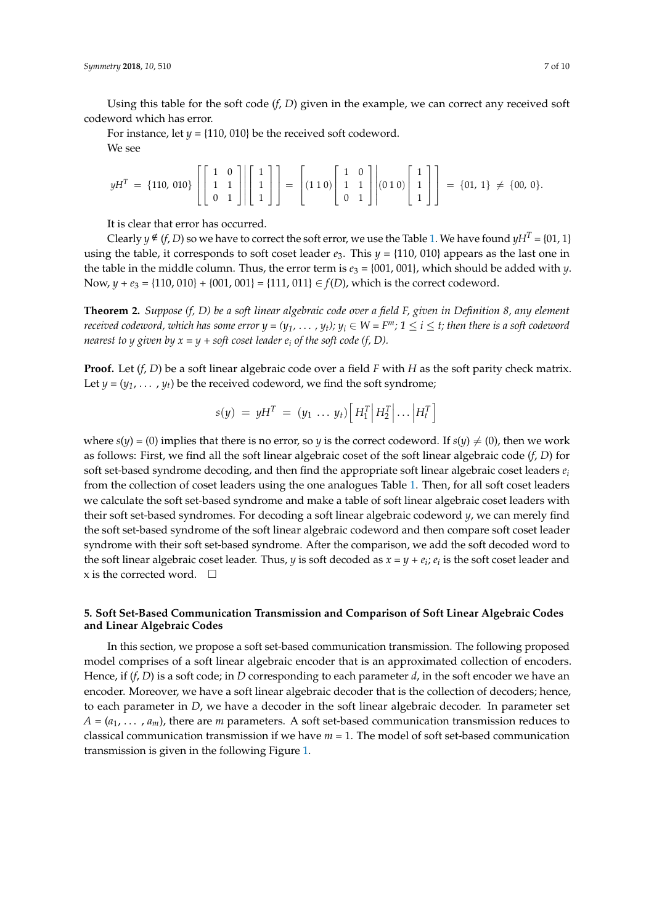Using this table for the soft code (*f*, *D*) given in the example, we can correct any received soft codeword which has error. This table for the soft code (*f*, *D*) given in the example, we can convex received soft convex received soft convex received soft convex received soft convex received soft convex received soft c

For instance, let  $y = \{110, 010\}$  be the received soft codeword. We see For instance, let *y* = {110, 010} be the received soft codeword.

$$
yH^{T} = \{110, 010\} \begin{bmatrix} 1 & 0 \\ 1 & 1 \\ 0 & 1 \end{bmatrix} \begin{bmatrix} 1 \\ 1 \\ 1 \end{bmatrix} = \begin{bmatrix} 1 & 0 \\ 1 & 1 \\ 0 & 1 \end{bmatrix} \begin{bmatrix} 1 & 0 \\ 1 & 1 \\ 0 & 1 \end{bmatrix} \begin{bmatrix} 1 & 0 \\ 1 & 1 \\ 0 & 1 \end{bmatrix} \begin{bmatrix} 1 \\ 0 & 1 \end{bmatrix} = \{01, 1\} \neq \{00, 0\}.
$$

It is clear that error has occurred. It is clear that error has occurred.

Clearly  $y \notin (f, D)$  so we have to correct the soft error, we use the Table 1[. W](#page-5-0)e have found  $yH^T = \{01, 1\}$ using the table, it corresponds to soft coset leader  $e_3$ . This  $y = \{110, 010\}$  appears as the last one in the table in the middle column. Thus, the error term is  $e_3 = \{001, 001\}$ , which should be added with *y*. Now,  $y + e_3 = \{110, 010\} + \{001, 001\} = \{111, 011\} \in f(D)$ , which is the correct codeword.

**Theorem 2.** *Suppose (f, D) be a soft linear algebraic code over a field F, given in Definition 8, any element received codeword, which has some error*  $y = (y_1, \ldots, y_t)$ ;  $y_i \in W = F^m$ ;  $1 \le i \le t$ ; then there is a soft codeword *nearest to y given by*  $x = y + soft coset leader e_i$  *of the soft code (f, D).* 

**Proof.** Let (*f*, *D*) be a soft linear algebraic code over a field *F* with *H* as the soft parity check matrix. Let  $y = (y_1, \ldots, y_t)$  be the received codeword, we find the soft syndrome;

$$
s(y) = yH^T = (y_1 \dots y_t) \left[ H_1^T \middle| H_2^T \middle| \dots \middle| H_t^T \right]
$$

where  $s(y) = (0)$  implies that there is no error, so *y* is the correct codeword. If  $s(y) \neq (0)$ , then we work as follows: First, we find all the soft linear algebraic coset of the soft linear algebraic code (*f*, *D*) for soft set-based syndrome decoding, and then find the appropriate soft linear algebraic coset leaders *e<sup>i</sup>* from the collection of coset leaders using the one analogues Table [1.](#page-5-0) Then, for all soft coset leaders we calculate the soft set-based syndrome and make a table of soft linear algebraic coset leaders with their soft set-based syndromes. For decoding a soft linear algebraic codeword *y*, we can merely find the soft set-based syndrome of the soft linear algebraic codeword and then compare soft coset leader syndrome with their soft set-based syndrome. After the comparison, we add the soft decoded word to the soft linear algebraic coset leader. Thus, *y* is soft decoded as  $x = y + e_i$ ;  $e_i$  is the soft coset leader and x is the corrected word.  $\square$ 

# <span id="page-6-0"></span>**5. Soft Set-Based Communication Transmission and Comparison of Soft Linear Algebraic Codes and Linear Algebraic Codes**

In this section, we propose a soft set-based communication transmission. The following proposed model comprises of a soft linear algebraic encoder that is an approximated collection of encoders. Hence, if (*f*, *D*) is a soft code; in *D* corresponding to each parameter *d*, in the soft encoder we have an encoder. Moreover, we have a soft linear algebraic decoder that is the collection of decoders; hence, to each parameter in *D*, we have a decoder in the soft linear algebraic decoder. In parameter set  $A = (a_1, \ldots, a_m)$ , there are *m* parameters. A soft set-based communication transmission reduces to classical communication transmission if we have *m* = 1. The model of soft set-based communication transmission is given in the following Figure [1.](#page-7-1)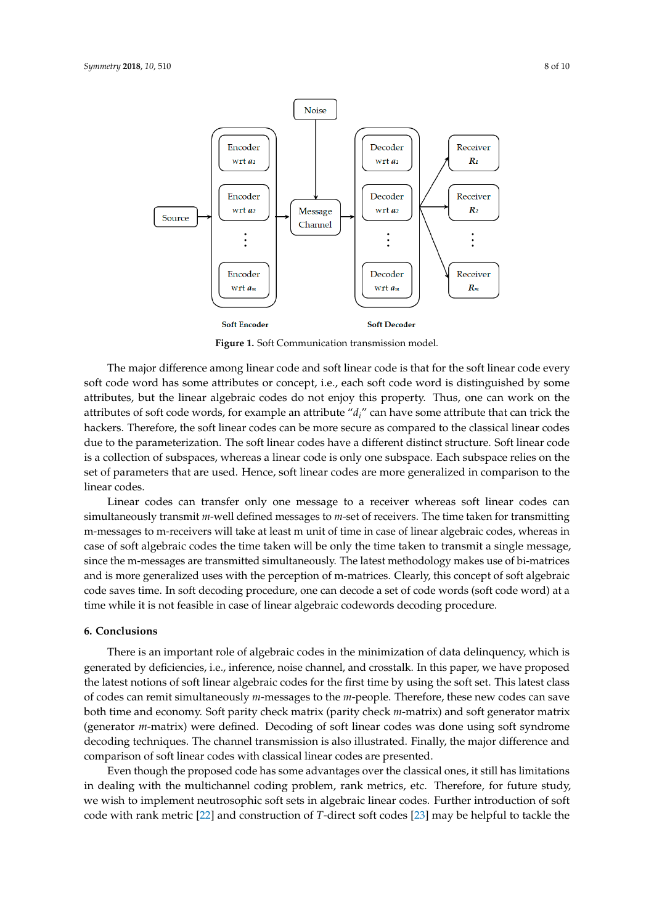<span id="page-7-1"></span>

Figure 1. Soft Communication transmission model.

The major difference among linear code and soft linear code is that for the soft linear code every soft code word has some attributes or concept, i.e., each soft code word is distinguished by some attributes, but the linear algebraic codes do not enjoy this property. Thus, one can work on the attributes of soft code words, for example an attribute "*di*" can have some attribute that can trick the hackers. Therefore, the soft linear codes can be more secure as compared to the classical linear codes due to the parameterization. The soft linear codes have a different distinct structure. Soft linear code is a collection of subspaces, whereas a linear code is only one subspace. Each subspace relies on the set of parameters that are used. Hence, soft linear codes are more generalized in comparison to the linear codes.

Linear codes can transfer only one message to a receiver whereas soft linear codes can simultaneously transmit *m*-well defined messages to *m*-set of receivers. The time taken for transmitting m-messages to m-receivers will take at least m unit of time in case of linear algebraic codes, whereas in case of soft algebraic codes the time taken will be only the time taken to transmit a single message, since the m-messages are transmitted simultaneously. The latest methodology makes use of bi-matrices and is more generalized uses with the perception of m-matrices. Clearly, this concept of soft algebraic code saves time. In soft decoding procedure, one can decode a set of code words (soft code word) at a time while it is not feasible in case of linear algebraic codewords decoding procedure.

#### <span id="page-7-0"></span>**6. Conclusions**

There is an important role of algebraic codes in the minimization of data delinquency, which is generated by deficiencies, i.e., inference, noise channel, and crosstalk. In this paper, we have proposed the latest notions of soft linear algebraic codes for the first time by using the soft set. This latest class of codes can remit simultaneously *m*-messages to the *m*-people. Therefore, these new codes can save both time and economy. Soft parity check matrix (parity check *m*-matrix) and soft generator matrix (generator *m*-matrix) were defined. Decoding of soft linear codes was done using soft syndrome decoding techniques. The channel transmission is also illustrated. Finally, the major difference and comparison of soft linear codes with classical linear codes are presented.

Even though the proposed code has some advantages over the classical ones, it still has limitations in dealing with the multichannel coding problem, rank metrics, etc. Therefore, for future study, we wish to implement neutrosophic soft sets in algebraic linear codes. Further introduction of soft code with rank metric [\[22\]](#page-8-19) and construction of *T*-direct soft codes [\[23\]](#page-8-20) may be helpful to tackle the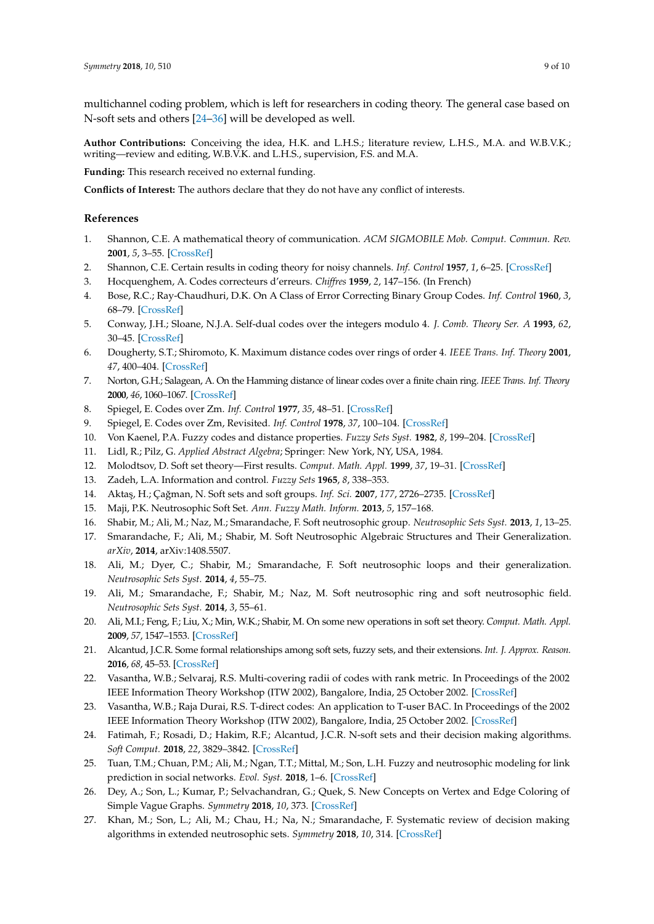multichannel coding problem, which is left for researchers in coding theory. The general case based on N-soft sets and others [\[24](#page-8-21)[–36\]](#page-9-0) will be developed as well.

**Author Contributions:** Conceiving the idea, H.K. and L.H.S.; literature review, L.H.S., M.A. and W.B.V.K.; writing—review and editing, W.B.V.K. and L.H.S., supervision, F.S. and M.A.

**Funding:** This research received no external funding.

**Conflicts of Interest:** The authors declare that they do not have any conflict of interests.

## **References**

- <span id="page-8-0"></span>1. Shannon, C.E. A mathematical theory of communication. *ACM SIGMOBILE Mob. Comput. Commun. Rev.* **2001**, *5*, 3–55. [\[CrossRef\]](http://dx.doi.org/10.1145/584091.584093)
- <span id="page-8-1"></span>2. Shannon, C.E. Certain results in coding theory for noisy channels. *Inf. Control* **1957**, *1*, 6–25. [\[CrossRef\]](http://dx.doi.org/10.1016/S0019-9958(57)90039-6)
- <span id="page-8-2"></span>3. Hocquenghem, A. Codes correcteurs d'erreurs. *Chiffres* **1959**, *2*, 147–156. (In French)
- <span id="page-8-3"></span>4. Bose, R.C.; Ray-Chaudhuri, D.K. On A Class of Error Correcting Binary Group Codes. *Inf. Control* **1960**, *3*, 68–79. [\[CrossRef\]](http://dx.doi.org/10.1016/S0019-9958(60)90287-4)
- <span id="page-8-4"></span>5. Conway, J.H.; Sloane, N.J.A. Self-dual codes over the integers modulo 4. *J. Comb. Theory Ser. A* **1993**, *62*, 30–45. [\[CrossRef\]](http://dx.doi.org/10.1016/0097-3165(93)90070-O)
- <span id="page-8-5"></span>6. Dougherty, S.T.; Shiromoto, K. Maximum distance codes over rings of order 4. *IEEE Trans. Inf. Theory* **2001**, *47*, 400–404. [\[CrossRef\]](http://dx.doi.org/10.1109/18.904544)
- <span id="page-8-6"></span>7. Norton, G.H.; Salagean, A. On the Hamming distance of linear codes over a finite chain ring. *IEEE Trans. Inf. Theory* **2000**, *46*, 1060–1067. [\[CrossRef\]](http://dx.doi.org/10.1109/18.841186)
- <span id="page-8-7"></span>8. Spiegel, E. Codes over Zm. *Inf. Control* **1977**, *35*, 48–51. [\[CrossRef\]](http://dx.doi.org/10.1016/S0019-9958(77)90526-5)
- <span id="page-8-8"></span>9. Spiegel, E. Codes over Zm, Revisited. *Inf. Control* **1978**, *37*, 100–104. [\[CrossRef\]](http://dx.doi.org/10.1016/S0019-9958(78)90461-8)
- <span id="page-8-9"></span>10. Von Kaenel, P.A. Fuzzy codes and distance properties. *Fuzzy Sets Syst.* **1982**, *8*, 199–204. [\[CrossRef\]](http://dx.doi.org/10.1016/0165-0114(82)90008-2)
- <span id="page-8-10"></span>11. Lidl, R.; Pilz, G. *Applied Abstract Algebra*; Springer: New York, NY, USA, 1984.
- <span id="page-8-11"></span>12. Molodtsov, D. Soft set theory—First results. *Comput. Math. Appl.* **1999**, *37*, 19–31. [\[CrossRef\]](http://dx.doi.org/10.1016/S0898-1221(99)00056-5)
- <span id="page-8-12"></span>13. Zadeh, L.A. Information and control. *Fuzzy Sets* **1965**, *8*, 338–353.
- <span id="page-8-13"></span>14. Akta¸s, H.; Ça ˘gman, N. Soft sets and soft groups. *Inf. Sci.* **2007**, *177*, 2726–2735. [\[CrossRef\]](http://dx.doi.org/10.1016/j.ins.2006.12.008)
- <span id="page-8-14"></span>15. Maji, P.K. Neutrosophic Soft Set. *Ann. Fuzzy Math. Inform.* **2013**, *5*, 157–168.
- <span id="page-8-15"></span>16. Shabir, M.; Ali, M.; Naz, M.; Smarandache, F. Soft neutrosophic group. *Neutrosophic Sets Syst.* **2013**, *1*, 13–25.
- <span id="page-8-16"></span>17. Smarandache, F.; Ali, M.; Shabir, M. Soft Neutrosophic Algebraic Structures and Their Generalization. *arXiv*, **2014**, arXiv:1408.5507.
- 18. Ali, M.; Dyer, C.; Shabir, M.; Smarandache, F. Soft neutrosophic loops and their generalization. *Neutrosophic Sets Syst.* **2014**, *4*, 55–75.
- 19. Ali, M.; Smarandache, F.; Shabir, M.; Naz, M. Soft neutrosophic ring and soft neutrosophic field. *Neutrosophic Sets Syst.* **2014**, *3*, 55–61.
- <span id="page-8-17"></span>20. Ali, M.I.; Feng, F.; Liu, X.; Min, W.K.; Shabir, M. On some new operations in soft set theory. *Comput. Math. Appl.* **2009**, *57*, 1547–1553. [\[CrossRef\]](http://dx.doi.org/10.1016/j.camwa.2008.11.009)
- <span id="page-8-18"></span>21. Alcantud, J.C.R. Some formal relationships among soft sets, fuzzy sets, and their extensions. *Int. J. Approx. Reason.* **2016**, *68*, 45–53. [\[CrossRef\]](http://dx.doi.org/10.1016/j.ijar.2015.10.004)
- <span id="page-8-19"></span>22. Vasantha, W.B.; Selvaraj, R.S. Multi-covering radii of codes with rank metric. In Proceedings of the 2002 IEEE Information Theory Workshop (ITW 2002), Bangalore, India, 25 October 2002. [\[CrossRef\]](http://dx.doi.org/10.1109/ITW.2002.1115471)
- <span id="page-8-20"></span>23. Vasantha, W.B.; Raja Durai, R.S. T-direct codes: An application to T-user BAC. In Proceedings of the 2002 IEEE Information Theory Workshop (ITW 2002), Bangalore, India, 25 October 2002. [\[CrossRef\]](http://dx.doi.org/10.1109/ITW.2002.1115470)
- <span id="page-8-21"></span>24. Fatimah, F.; Rosadi, D.; Hakim, R.F.; Alcantud, J.C.R. N-soft sets and their decision making algorithms. *Soft Comput.* **2018**, *22*, 3829–3842. [\[CrossRef\]](http://dx.doi.org/10.1007/s00500-017-2838-6)
- 25. Tuan, T.M.; Chuan, P.M.; Ali, M.; Ngan, T.T.; Mittal, M.; Son, L.H. Fuzzy and neutrosophic modeling for link prediction in social networks. *Evol. Syst.* **2018**, 1–6. [\[CrossRef\]](http://dx.doi.org/10.1007/s12530-018-9251-y)
- 26. Dey, A.; Son, L.; Kumar, P.; Selvachandran, G.; Quek, S. New Concepts on Vertex and Edge Coloring of Simple Vague Graphs. *Symmetry* **2018**, *10*, 373. [\[CrossRef\]](http://dx.doi.org/10.3390/sym10090373)
- 27. Khan, M.; Son, L.; Ali, M.; Chau, H.; Na, N.; Smarandache, F. Systematic review of decision making algorithms in extended neutrosophic sets. *Symmetry* **2018**, *10*, 314. [\[CrossRef\]](http://dx.doi.org/10.3390/sym10080314)